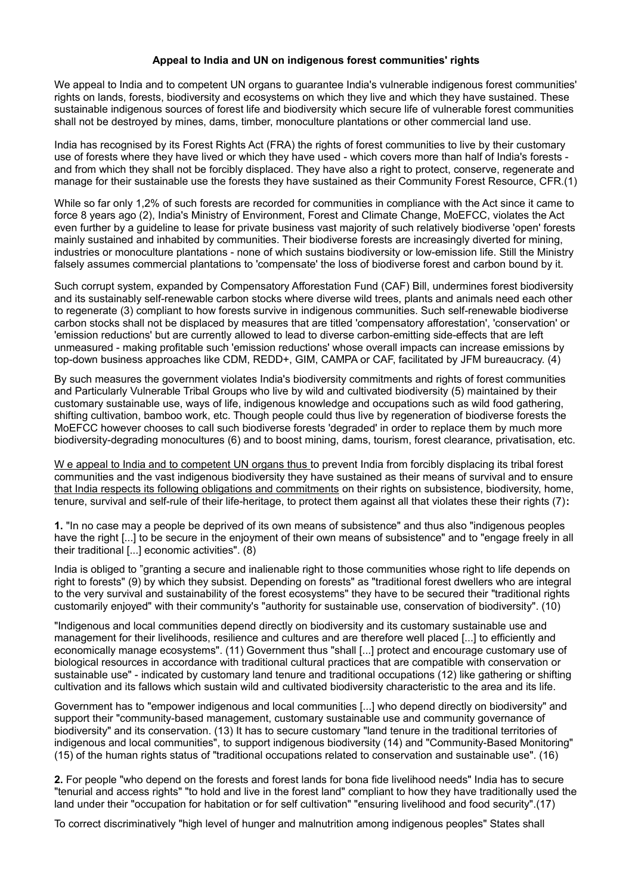## **Appeal to India and UN on indigenous forest communities' rights**

We appeal to India and to competent UN organs to guarantee India's vulnerable indigenous forest communities' rights on lands, forests, biodiversity and ecosystems on which they live and which they have sustained. These sustainable indigenous sources of forest life and biodiversity which secure life of vulnerable forest communities shall not be destroyed by mines, dams, timber, monoculture plantations or other commercial land use.

India has recognised by its Forest Rights Act (FRA) the rights of forest communities to live by their customary use of forests where they have lived or which they have used - which covers more than half of India's forests and from which they shall not be forcibly displaced. They have also a right to protect, conserve, regenerate and manage for their sustainable use the forests they have sustained as their Community Forest Resource, CFR.(1)

While so far only 1,2% of such forests are recorded for communities in compliance with the Act since it came to force 8 years ago (2), India's Ministry of Environment, Forest and Climate Change, MoEFCC, violates the Act even further by a guideline to lease for private business vast majority of such relatively biodiverse 'open' forests mainly sustained and inhabited by communities. Their biodiverse forests are increasingly diverted for mining, industries or monoculture plantations - none of which sustains biodiversity or low-emission life. Still the Ministry falsely assumes commercial plantations to 'compensate' the loss of biodiverse forest and carbon bound by it.

Such corrupt system, expanded by Compensatory Afforestation Fund (CAF) Bill, undermines forest biodiversity and its sustainably self-renewable carbon stocks where diverse wild trees, plants and animals need each other to regenerate (3) compliant to how forests survive in indigenous communities. Such self-renewable biodiverse carbon stocks shall not be displaced by measures that are titled 'compensatory afforestation', 'conservation' or 'emission reductions' but are currently allowed to lead to diverse carbon-emitting side-effects that are left unmeasured - making profitable such 'emission reductions' whose overall impacts can increase emissions by top-down business approaches like CDM, REDD+, GIM, CAMPA or CAF, facilitated by JFM bureaucracy. (4)

By such measures the government violates India's biodiversity commitments and rights of forest communities and Particularly Vulnerable Tribal Groups who live by wild and cultivated biodiversity (5) maintained by their customary sustainable use, ways of life, indigenous knowledge and occupations such as wild food gathering, shifting cultivation, bamboo work, etc. Though people could thus live by regeneration of biodiverse forests the MoEFCC however chooses to call such biodiverse forests 'degraded' in order to replace them by much more biodiversity-degrading monocultures (6) and to boost mining, dams, tourism, forest clearance, privatisation, etc.

W e appeal to India and to competent UN organs thus to prevent India from forcibly displacing its tribal forest communities and the vast indigenous biodiversity they have sustained as their means of survival and to ensure that India respects its following obligations and commitments on their rights on subsistence, biodiversity, home, tenure, survival and self-rule of their life-heritage, to protect them against all that violates these their rights (7)**:**

**1.** "In no case may a people be deprived of its own means of subsistence" and thus also "indigenous peoples have the right [...] to be secure in the enjoyment of their own means of subsistence" and to "engage freely in all their traditional [...] economic activities". (8)

India is obliged to "granting a secure and inalienable right to those communities whose right to life depends on right to forests" (9) by which they subsist. Depending on forests" as "traditional forest dwellers who are integral to the very survival and sustainability of the forest ecosystems" they have to be secured their "traditional rights customarily enjoyed" with their community's "authority for sustainable use, conservation of biodiversity". (10)

"Indigenous and local communities depend directly on biodiversity and its customary sustainable use and management for their livelihoods, resilience and cultures and are therefore well placed [...] to efficiently and economically manage ecosystems". (11) Government thus "shall [...] protect and encourage customary use of biological resources in accordance with traditional cultural practices that are compatible with conservation or sustainable use" - indicated by customary land tenure and traditional occupations (12) like gathering or shifting cultivation and its fallows which sustain wild and cultivated biodiversity characteristic to the area and its life.

Government has to "empower indigenous and local communities [...] who depend directly on biodiversity" and support their "community-based management, customary sustainable use and community governance of biodiversity" and its conservation. (13) It has to secure customary "land tenure in the traditional territories of indigenous and local communities", to support indigenous biodiversity (14) and "Community-Based Monitoring" (15) of the human rights status of "traditional occupations related to conservation and sustainable use". (16)

**2.** For people "who depend on the forests and forest lands for bona fide livelihood needs" India has to secure "tenurial and access rights" "to hold and live in the forest land" compliant to how they have traditionally used the land under their "occupation for habitation or for self cultivation" "ensuring livelihood and food security".(17)

To correct discriminatively "high level of hunger and malnutrition among indigenous peoples" States shall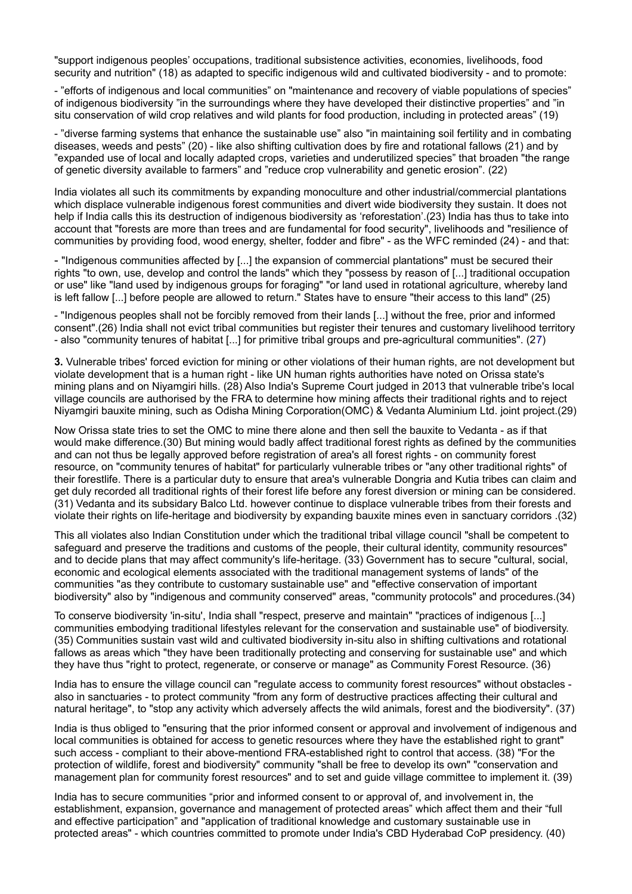"support indigenous peoples' occupations, traditional subsistence activities, economies, livelihoods, food security and nutrition" (18) as adapted to specific indigenous wild and cultivated biodiversity - and to promote:

- "efforts of indigenous and local communities" on "maintenance and recovery of viable populations of species" of indigenous biodiversity "in the surroundings where they have developed their distinctive properties" and "in situ conservation of wild crop relatives and wild plants for food production, including in protected areas" (19)

- "diverse farming systems that enhance the sustainable use" also "in maintaining soil fertility and in combating diseases, weeds and pests" (20) - like also shifting cultivation does by fire and rotational fallows (21) and by "expanded use of local and locally adapted crops, varieties and underutilized species" that broaden "the range of genetic diversity available to farmers" and "reduce crop vulnerability and genetic erosion". (22)

India violates all such its commitments by expanding monoculture and other industrial/commercial plantations which displace vulnerable indigenous forest communities and divert wide biodiversity they sustain. It does not help if India calls this its destruction of indigenous biodiversity as 'reforestation'.(23) India has thus to take into account that "forests are more than trees and are fundamental for food security", livelihoods and "resilience of communities by providing food, wood energy, shelter, fodder and fibre" - as the WFC reminded (24) - and that:

- "Indigenous communities affected by [...] the expansion of commercial plantations" must be secured their rights "to own, use, develop and control the lands" which they "possess by reason of [...] traditional occupation or use" like "land used by indigenous groups for foraging" "or land used in rotational agriculture, whereby land is left fallow [...] before people are allowed to return." States have to ensure "their access to this land" (25)

- "Indigenous peoples shall not be forcibly removed from their lands [...] without the free, prior and informed consent".(26) India shall not evict tribal communities but register their tenures and customary livelihood territory - also "community tenures of habitat [...] for primitive tribal groups and pre-agricultural communities". (27)

**3.** Vulnerable tribes' forced eviction for mining or other violations of their human rights, are not development but violate development that is a human right - like UN human rights authorities have noted on Orissa state's mining plans and on Niyamgiri hills. (28) Also India's Supreme Court judged in 2013 that vulnerable tribe's local village councils are authorised by the FRA to determine how mining affects their traditional rights and to reject Niyamgiri bauxite mining, such as Odisha Mining Corporation(OMC) & Vedanta Aluminium Ltd. joint project.(29)

Now Orissa state tries to set the OMC to mine there alone and then sell the bauxite to Vedanta - as if that would make difference.(30) But mining would badly affect traditional forest rights as defined by the communities and can not thus be legally approved before registration of area's all forest rights - on community forest resource, on "community tenures of habitat" for particularly vulnerable tribes or "any other traditional rights" of their forestlife. There is a particular duty to ensure that area's vulnerable Dongria and Kutia tribes can claim and get duly recorded all traditional rights of their forest life before any forest diversion or mining can be considered. (31) Vedanta and its subsidary Balco Ltd. however continue to displace vulnerable tribes from their forests and violate their rights on life-heritage and biodiversity by expanding bauxite mines even in sanctuary corridors .(32)

This all violates also Indian Constitution under which the traditional tribal village council "shall be competent to safeguard and preserve the traditions and customs of the people, their cultural identity, community resources" and to decide plans that may affect community's life-heritage. (33) Government has to secure "cultural, social, economic and ecological elements associated with the traditional management systems of lands" of the communities "as they contribute to customary sustainable use" and "effective conservation of important biodiversity" also by "indigenous and community conserved" areas, "community protocols" and procedures.(34)

To conserve biodiversity 'in-situ', India shall "respect, preserve and maintain" "practices of indigenous [...] communities embodying traditional lifestyles relevant for the conservation and sustainable use" of biodiversity. (35) Communities sustain vast wild and cultivated biodiversity in-situ also in shifting cultivations and rotational fallows as areas which "they have been traditionally protecting and conserving for sustainable use" and which they have thus "right to protect, regenerate, or conserve or manage" as Community Forest Resource. (36)

India has to ensure the village council can "regulate access to community forest resources" without obstacles also in sanctuaries - to protect community "from any form of destructive practices affecting their cultural and natural heritage", to "stop any activity which adversely affects the wild animals, forest and the biodiversity". (37)

India is thus obliged to "ensuring that the prior informed consent or approval and involvement of indigenous and local communities is obtained for access to genetic resources where they have the established right to grant" such access - compliant to their above-mentiond FRA-established right to control that access. (38) "For the protection of wildlife, forest and biodiversity" community "shall be free to develop its own" "conservation and management plan for community forest resources" and to set and guide village committee to implement it. (39)

India has to secure communities "prior and informed consent to or approval of, and involvement in, the establishment, expansion, governance and management of protected areas" which affect them and their "full and effective participation" and "application of traditional knowledge and customary sustainable use in protected areas" - which countries committed to promote under India's CBD Hyderabad CoP presidency. (40)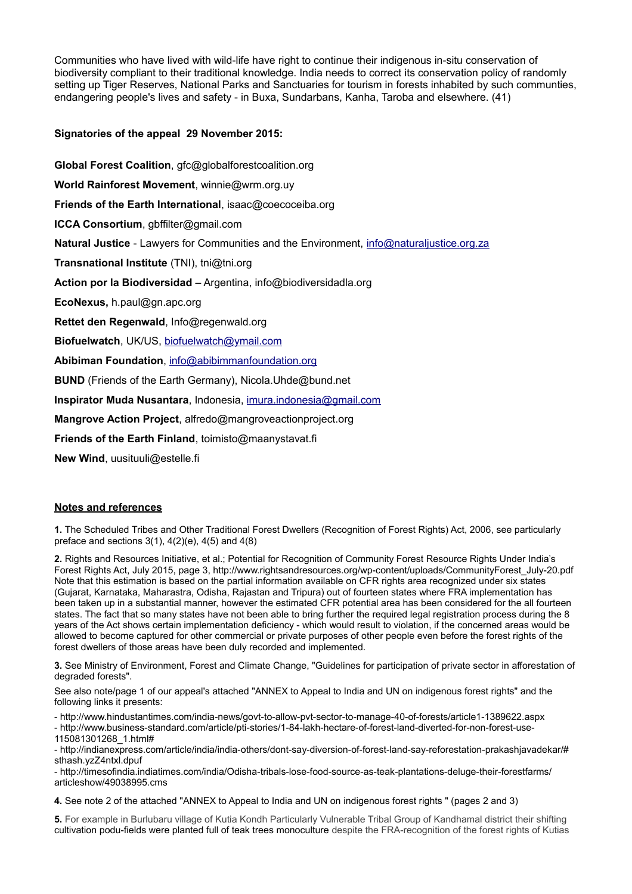Communities who have lived with wild-life have right to continue their indigenous in-situ conservation of biodiversity compliant to their traditional knowledge. India needs to correct its conservation policy of randomly setting up Tiger Reserves, National Parks and Sanctuaries for tourism in forests inhabited by such communties, endangering people's lives and safety - in Buxa, Sundarbans, Kanha, Taroba and elsewhere. (41)

**Signatories of the appeal 29 November 2015:**

**Global Forest Coalition**, gfc@globalforestcoalition.org **World Rainforest Movement**, winnie@wrm.org.uy **Friends of the Earth International**, isaac@coecoceiba.org **ICCA Consortium**, gbffilter@gmail.com **Natural Justice** - Lawyers for Communities and the Environment, *info@naturaljustice.org.za* **Transnational Institute** (TNI), tni@tni.org **Action por la Biodiversidad** – Argentina, info@biodiversidadla.org **EcoNexus,** h.paul@gn.apc.org **Rettet den Regenwald**, Info@regenwald.org **Biofuelwatch**, UK/US, [biofuelwatch@ymail.com](mailto:biofuelwatch@ymail.com) **Abibiman Foundation**, [info@abibimmanfoundation.org](mailto:info@abibimmanfoundation.org) **BUND** (Friends of the Earth Germany), Nicola.Uhde@bund.net **Inspirator Muda Nusantara**, Indonesia, [imura.indonesia@gmail.com](mailto:imura.indonesia@gmail.com) **Mangrove Action Project**, alfredo@mangroveactionproject.org **Friends of the Earth Finland**, toimisto@maanystavat.fi

**New Wind**, uusituuli@estelle.fi

# **Notes and references**

**1.** The Scheduled Tribes and Other Traditional Forest Dwellers (Recognition of Forest Rights) Act, 2006, see particularly preface and sections  $3(1)$ ,  $4(2)(e)$ ,  $4(5)$  and  $4(8)$ 

**2.** Rights and Resources Initiative, et al.; Potential for Recognition of Community Forest Resource Rights Under India's Forest Rights Act, July 2015, page 3, http://www.rightsandresources.org/wp-content/uploads/CommunityForest\_July-20.pdf Note that this estimation is based on the partial information available on CFR rights area recognized under six states (Gujarat, Karnataka, Maharastra, Odisha, Rajastan and Tripura) out of fourteen states where FRA implementation has been taken up in a substantial manner, however the estimated CFR potential area has been considered for the all fourteen states. The fact that so many states have not been able to bring further the required legal registration process during the 8 years of the Act shows certain implementation deficiency - which would result to violation, if the concerned areas would be allowed to become captured for other commercial or private purposes of other people even before the forest rights of the forest dwellers of those areas have been duly recorded and implemented.

**3.** See Ministry of Environment, Forest and Climate Change, "Guidelines for participation of private sector in afforestation of degraded forests".

See also note/page 1 of our appeal's attached "ANNEX to Appeal to India and UN on indigenous forest rights" and the following links it presents:

- http://www.hindustantimes.com/india-news/govt-to-allow-pvt-sector-to-manage-40-of-forests/article1-1389622.aspx

- http://www.business-standard.com/article/pti-stories/1-84-lakh-hectare-of-forest-land-diverted-for-non-forest-use-

115081301268\_1.html#

- http://indianexpress.com/article/india/india-others/dont-say-diversion-of-forest-land-say-reforestation-prakashjavadekar/# sthash.yzZ4ntxl.dpuf

- http://timesofindia.indiatimes.com/india/Odisha-tribals-lose-food-source-as-teak-plantations-deluge-their-forestfarms/ articleshow/49038995.cms

**4.** See note 2 of the attached "ANNEX to Appeal to India and UN on indigenous forest rights " (pages 2 and 3)

**5.** For example in Burlubaru village of Kutia Kondh Particularly Vulnerable Tribal Group of Kandhamal district their shifting cultivation podu-fields were planted full of teak trees monoculture despite the FRA-recognition of the forest rights of Kutias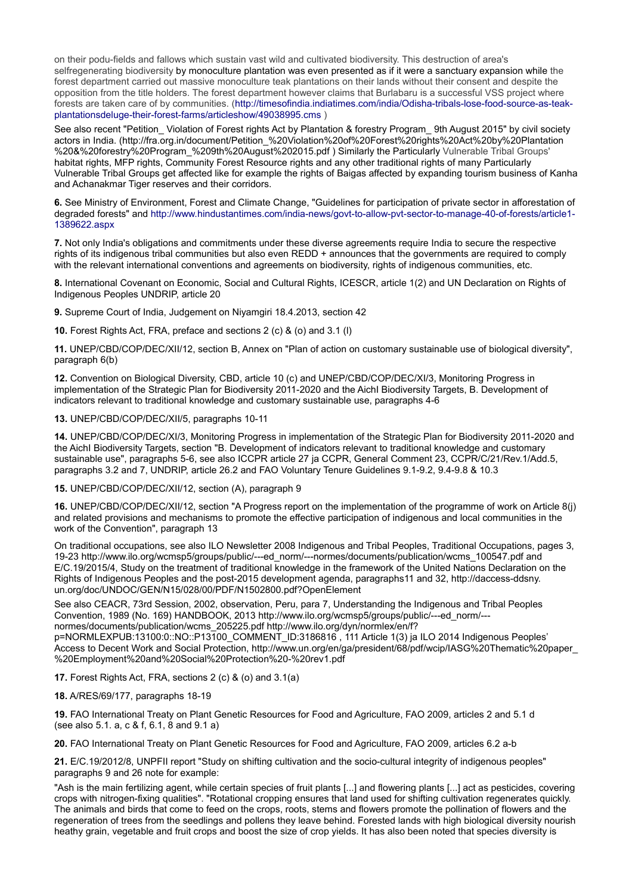on their podu-fields and fallows which sustain vast wild and cultivated biodiversity. This destruction of area's selfregenerating biodiversity by monoculture plantation was even presented as if it were a sanctuary expansion while the forest department carried out massive monoculture teak plantations on their lands without their consent and despite the opposition from the title holders. The forest department however claims that Burlabaru is a successful VSS project where forests are taken care of by communities. (http://timesofindia.indiatimes.com/india/Odisha-tribals-lose-food-source-as-teakplantationsdeluge-their-forest-farms/articleshow/49038995.cms )

See also recent "Petition\_ Violation of Forest rights Act by Plantation & forestry Program\_ 9th August 2015" by civil society actors in India. (http://fra.org.in/document/Petition\_%20Violation%20of%20Forest%20rights%20Act%20by%20Plantation %20&%20forestry%20Program\_%209th%20August%202015.pdf ) Similarly the Particularly Vulnerable Tribal Groups' habitat rights, MFP rights, Community Forest Resource rights and any other traditional rights of many Particularly Vulnerable Tribal Groups get affected like for example the rights of Baigas affected by expanding tourism business of Kanha and Achanakmar Tiger reserves and their corridors.

**6.** See Ministry of Environment, Forest and Climate Change, "Guidelines for participation of private sector in afforestation of degraded forests" and http://www.hindustantimes.com/india-news/govt-to-allow-pvt-sector-to-manage-40-of-forests/article1- 1389622.aspx

**7.** Not only India's obligations and commitments under these diverse agreements require India to secure the respective rights of its indigenous tribal communities but also even REDD + announces that the governments are required to comply with the relevant international conventions and agreements on biodiversity, rights of indigenous communities, etc.

**8.** International Covenant on Economic, Social and Cultural Rights, ICESCR, article 1(2) and UN Declaration on Rights of Indigenous Peoples UNDRIP, article 20

**9.** Supreme Court of India, Judgement on Niyamgiri 18.4.2013, section 42

**10.** Forest Rights Act, FRA, preface and sections 2 (c) & (o) and 3.1 (l)

**11.** UNEP/CBD/COP/DEC/XII/12, section B, Annex on "Plan of action on customary sustainable use of biological diversity", paragraph 6(b)

**12.** Convention on Biological Diversity, CBD, article 10 (c) and UNEP/CBD/COP/DEC/XI/3, Monitoring Progress in implementation of the Strategic Plan for Biodiversity 2011-2020 and the AichI Biodiversity Targets, B. Development of indicators relevant to traditional knowledge and customary sustainable use, paragraphs 4-6

#### **13.** UNEP/CBD/COP/DEC/XII/5, paragraphs 10-11

**14.** UNEP/CBD/COP/DEC/XI/3, Monitoring Progress in implementation of the Strategic Plan for Biodiversity 2011-2020 and the AichI Biodiversity Targets, section "B. Development of indicators relevant to traditional knowledge and customary sustainable use", paragraphs 5-6, see also ICCPR article 27 ja CCPR, General Comment 23, CCPR/C/21/Rev.1/Add.5, paragraphs 3.2 and 7, UNDRIP, article 26.2 and FAO Voluntary Tenure Guidelines 9.1-9.2, 9.4-9.8 & 10.3

### **15.** UNEP/CBD/COP/DEC/XII/12, section (A), paragraph 9

**16.** UNEP/CBD/COP/DEC/XII/12, section "A Progress report on the implementation of the programme of work on Article 8(j) and related provisions and mechanisms to promote the effective participation of indigenous and local communities in the work of the Convention", paragraph 13

On traditional occupations, see also ILO Newsletter 2008 Indigenous and Tribal Peoples, Traditional Occupations, pages 3, 19-23 http://www.ilo.org/wcmsp5/groups/public/---ed\_norm/---normes/documents/publication/wcms\_100547.pdf and E/C.19/2015/4, Study on the treatment of traditional knowledge in the framework of the United Nations Declaration on the Rights of Indigenous Peoples and the post-2015 development agenda, paragraphs11 and 32, http://daccess-ddsny. un.org/doc/UNDOC/GEN/N15/028/00/PDF/N1502800.pdf?OpenElement

See also CEACR, 73rd Session, 2002, observation, Peru, para 7, Understanding the Indigenous and Tribal Peoples Convention, 1989 (No. 169) HANDBOOK, 2013 http://www.ilo.org/wcmsp5/groups/public/---ed\_norm/-- normes/documents/publication/wcms\_205225.pdf http://www.ilo.org/dyn/normlex/en/f? p=NORMLEXPUB:13100:0::NO::P13100\_COMMENT\_ID:3186816 , 111 Article 1(3) ja ILO 2014 Indigenous Peoples'

Access to Decent Work and Social Protection, http://www.un.org/en/ga/president/68/pdf/wcip/IASG%20Thematic%20paper\_ %20Employment%20and%20Social%20Protection%20-%20rev1.pdf

**17.** Forest Rights Act, FRA, sections 2 (c) & (o) and 3.1(a)

### **18.** A/RES/69/177, paragraphs 18-19

**19.** FAO International Treaty on Plant Genetic Resources for Food and Agriculture, FAO 2009, articles 2 and 5.1 d (see also 5.1. a, c & f, 6.1,  $\dot{8}$  and 9.1 a)

**20.** FAO International Treaty on Plant Genetic Resources for Food and Agriculture, FAO 2009, articles 6.2 a-b

**21.** E/C.19/2012/8, UNPFII report "Study on shifting cultivation and the socio-cultural integrity of indigenous peoples" paragraphs 9 and 26 note for example:

"Ash is the main fertilizing agent, while certain species of fruit plants [...] and flowering plants [...] act as pesticides, covering crops with nitrogen-fixing qualities". "Rotational cropping ensures that land used for shifting cultivation regenerates quickly. The animals and birds that come to feed on the crops, roots, stems and flowers promote the pollination of flowers and the regeneration of trees from the seedlings and pollens they leave behind. Forested lands with high biological diversity nourish heathy grain, vegetable and fruit crops and boost the size of crop yields. It has also been noted that species diversity is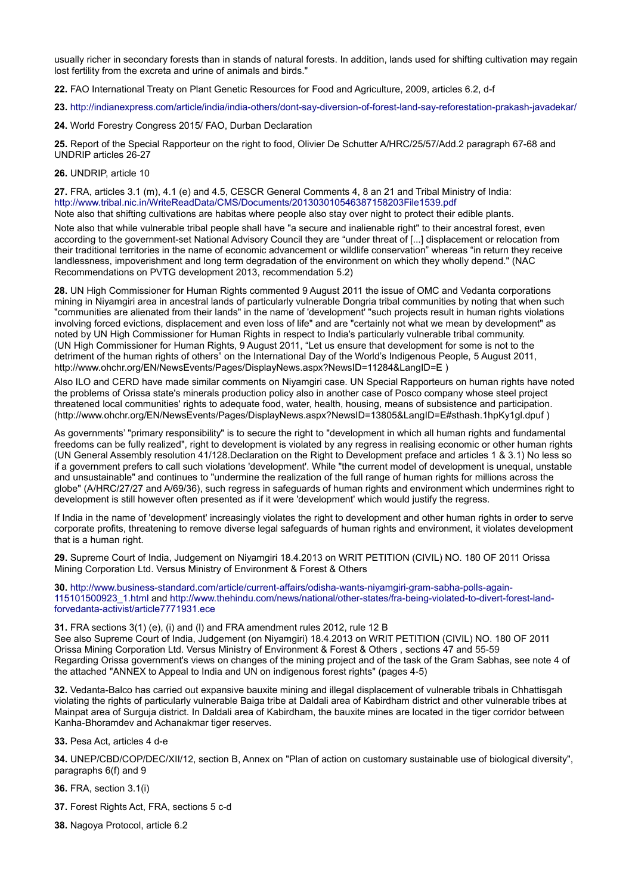usually richer in secondary forests than in stands of natural forests. In addition, lands used for shifting cultivation may regain lost fertility from the excreta and urine of animals and birds."

**22.** FAO International Treaty on Plant Genetic Resources for Food and Agriculture, 2009, articles 6.2, d-f

**23.** http://indianexpress.com/article/india/india-others/dont-say-diversion-of-forest-land-say-reforestation-prakash-javadekar/

**24.** World Forestry Congress 2015/ FAO, Durban Declaration

**25.** Report of the Special Rapporteur on the right to food, Olivier De Schutter A/HRC/25/57/Add.2 paragraph 67-68 and UNDRIP articles 26-27

## **26.** UNDRIP, article 10

**27.** FRA, articles 3.1 (m), 4.1 (e) and 4.5, CESCR General Comments 4, 8 an 21 and Tribal Ministry of India: http://www.tribal.nic.in/WriteReadData/CMS/Documents/201303010546387158203File1539.pdf Note also that shifting cultivations are habitas where people also stay over night to protect their edible plants.

Note also that while vulnerable tribal people shall have "a secure and inalienable right" to their ancestral forest, even according to the government-set National Advisory Council they are "under threat of [...] displacement or relocation from their traditional territories in the name of economic advancement or wildlife conservation" whereas "in return they receive landlessness, impoverishment and long term degradation of the environment on which they wholly depend." (NAC Recommendations on PVTG development 2013, recommendation 5.2)

**28.** UN High Commissioner for Human Rights commented 9 August 2011 the issue of OMC and Vedanta corporations mining in Niyamgiri area in ancestral lands of particularly vulnerable Dongria tribal communities by noting that when such "communities are alienated from their lands" in the name of 'development' "such projects result in human rights violations involving forced evictions, displacement and even loss of life" and are "certainly not what we mean by development" as noted by UN High Commissioner for Human Rights in respect to India's particularly vulnerable tribal community. (UN High Commissioner for Human Rights, 9 August 2011, "Let us ensure that development for some is not to the detriment of the human rights of others" on the International Day of the World's Indigenous People, 5 August 2011, http://www.ohchr.org/EN/NewsEvents/Pages/DisplayNews.aspx?NewsID=11284&LangID=E)

Also ILO and CERD have made similar comments on Niyamgiri case. UN Special Rapporteurs on human rights have noted the problems of Orissa state's minerals production policy also in another case of Posco company whose steel project threatened local communities' rights to adequate food, water, health, housing, means of subsistence and participation. (http://www.ohchr.org/EN/NewsEvents/Pages/DisplayNews.aspx?NewsID=13805&LangID=E#sthash.1hpKy1gl.dpuf )

As governments' "primary responsibility" is to secure the right to "development in which all human rights and fundamental freedoms can be fully realized", right to development is violated by any regress in realising economic or other human rights (UN General Assembly resolution 41/128.Declaration on the Right to Development preface and articles 1 & 3.1) No less so if a government prefers to call such violations 'development'. While "the current model of development is unequal, unstable and unsustainable" and continues to "undermine the realization of the full range of human rights for millions across the globe" (A/HRC/27/27 and A/69/36), such regress in safeguards of human rights and environment which undermines right to development is still however often presented as if it were 'development' which would justify the regress.

If India in the name of 'development' increasingly violates the right to development and other human rights in order to serve corporate profits, threatening to remove diverse legal safeguards of human rights and environment, it violates development that is a human right.

**29.** Supreme Court of India, Judgement on Niyamgiri 18.4.2013 on WRIT PETITION (CIVIL) NO. 180 OF 2011 Orissa Mining Corporation Ltd. Versus Ministry of Environment & Forest & Others

**30.** http://www.business-standard.com/article/current-affairs/odisha-wants-niyamgiri-gram-sabha-polls-again-115101500923\_1.html and http://www.thehindu.com/news/national/other-states/fra-being-violated-to-divert-forest-landforvedanta-activist/article7771931.ece

**31.** FRA sections 3(1) (e), (i) and (l) and FRA amendment rules 2012, rule 12 B See also Supreme Court of India, Judgement (on Niyamgiri) 18.4.2013 on WRIT PETITION (CIVIL) NO. 180 OF 2011 Orissa Mining Corporation Ltd. Versus Ministry of Environment & Forest & Others , sections 47 and 55-59 Regarding Orissa government's views on changes of the mining project and of the task of the Gram Sabhas, see note 4 of the attached "ANNEX to Appeal to India and UN on indigenous forest rights" (pages 4-5)

**32.** Vedanta-Balco has carried out expansive bauxite mining and illegal displacement of vulnerable tribals in Chhattisgah violating the rights of particularly vulnerable Baiga tribe at Daldali area of Kabirdham district and other vulnerable tribes at Mainpat area of Surguja district. In Daldali area of Kabirdham, the bauxite mines are located in the tiger corridor between Kanha-Bhoramdev and Achanakmar tiger reserves.

**33.** Pesa Act, articles 4 d-e

**34.** UNEP/CBD/COP/DEC/XII/12, section B, Annex on "Plan of action on customary sustainable use of biological diversity", paragraphs 6(f) and 9

**36.** FRA, section 3.1(i)

- **37.** Forest Rights Act, FRA, sections 5 c-d
- **38.** Nagoya Protocol, article 6.2